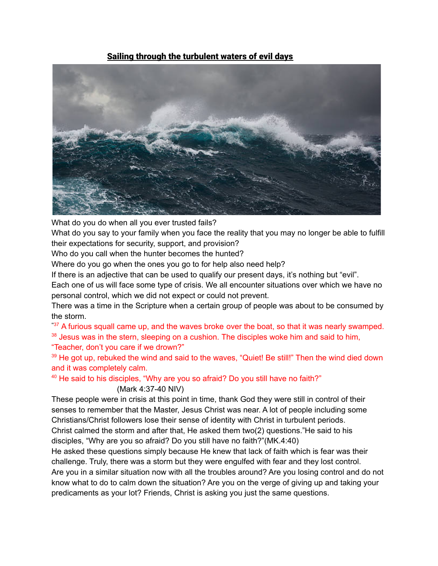# Sailing through the turbulent waters of evil days



What do you do when all you ever trusted fails?

What do you say to your family when you face the reality that you may no longer be able to fulfill their expectations for security, support, and provision?

Who do you call when the hunter becomes the hunted?

Where do you go when the ones you go to for help also need help?

If there is an adjective that can be used to qualify our present days, it's nothing but "evil".

Each one of us will face some type of crisis. We all encounter situations over which we have no personal control, which we did not expect or could not prevent.

There was a time in the Scripture when a certain group of people was about to be consumed by the storm.

**"**<sup>37</sup> A furious squall came up, and the waves broke over the boat, so that it was nearly swamped. <sup>38</sup> Jesus was in the stern, sleeping on a cushion. The disciples woke him and said to him, "Teacher, don't you care if we drown?"

<sup>39</sup> He got up, rebuked the wind and said to the waves, "Quiet! Be still!" Then the wind died down and it was completely calm.

<sup>40</sup> He said to his disciples, "Why are you so afraid? Do you still have no faith?"

# (Mark 4:37-40 NIV)

These people were in crisis at this point in time, thank God they were still in control of their senses to remember that the Master, Jesus Christ was near. A lot of people including some Christians/Christ followers lose their sense of identity with Christ in turbulent periods. Christ calmed the storm and after that, He asked them two(2) questions."He said to his disciples, "Why are you so afraid? Do you still have no faith?"(MK.4:40)

He asked these questions simply because He knew that lack of faith which is fear was their challenge. Truly, there was a storm but they were engulfed with fear and they lost control. Are you in a similar situation now with all the troubles around? Are you losing control and do not know what to do to calm down the situation? Are you on the verge of giving up and taking your predicaments as your lot? Friends, Christ is asking you just the same questions.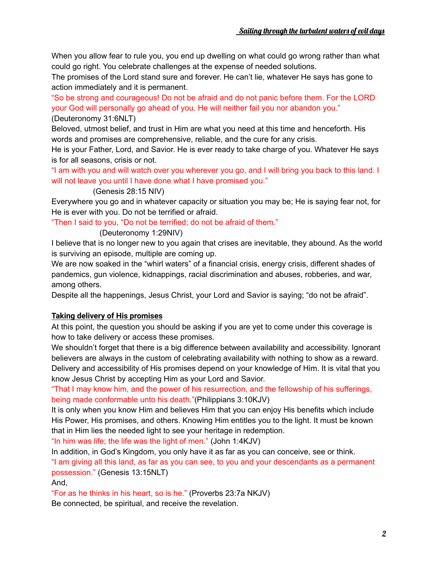When you allow fear to rule you, you end up dwelling on what could go wrong rather than what could go right. You celebrate challenges at the expense of needed solutions.

The promises of the Lord stand sure and forever. He can't lie, whatever He says has gone to action immediately and it is permanent.

"So be strong and courageous! Do not be afraid and do not panic before them. For the LORD your God will personally go ahead of you. He will neither fail you nor abandon you." (Deuteronomy 31:6NLT)

Beloved, utmost belief, and trust in Him are what you need at this time and henceforth. His words and promises are comprehensive, reliable, and the cure for any crisis.

He is your Father, Lord, and Savior. He is ever ready to take charge of you. Whatever He says is for all seasons, crisis or not.

"I am with you and will watch over you wherever you go, and I will bring you back to this land. I will not leave you until I have done what I have promised you."

#### (Genesis 28:15 NIV)

Everywhere you go and in whatever capacity or situation you may be; He is saying fear not, for He is ever with you. Do not be terrified or afraid.

"Then I said to you, "Do not be terrified; do not be afraid of them."

#### (Deuteronomy 1:29NIV)

I believe that is no longer new to you again that crises are inevitable, they abound. As the world is surviving an episode, multiple are coming up.

We are now soaked in the "whirl waters" of a financial crisis, energy crisis, different shades of pandemics, gun violence, kidnappings, racial discrimination and abuses, robberies, and war, among others.

Despite all the happenings, Jesus Christ, your Lord and Savior is saying; "do not be afraid".

## **Taking delivery of His promises**

At this point, the question you should be asking if you are yet to come under this coverage is how to take delivery or access these promises.

We shouldn't forget that there is a big difference between availability and accessibility. Ignorant believers are always in the custom of celebrating availability with nothing to show as a reward. Delivery and accessibility of His promises depend on your knowledge of Him. It is vital that you know Jesus Christ by accepting Him as your Lord and Savior.

"That I may know him, and the power of his resurrection, and the fellowship of his sufferings, being made conformable unto his death."(Philippians 3:10KJV)

It is only when you know Him and believes Him that you can enjoy His benefits which include His Power, His promises, and others. Knowing Him entitles you to the light. It must be known that in Him lies the needed light to see your heritage in redemption.

"In him was life; the life was the light of men." (John 1:4KJV)

In addition, in God's Kingdom, you only have it as far as you can conceive, see or think.

"I am giving all this land, as far as you can see, to you and your descendants as a permanent possession." (Genesis 13:15NLT)

And,

"For as he thinks in his heart, so is he." (Proverbs 23:7a NKJV)

Be connected, be spiritual, and receive the revelation.